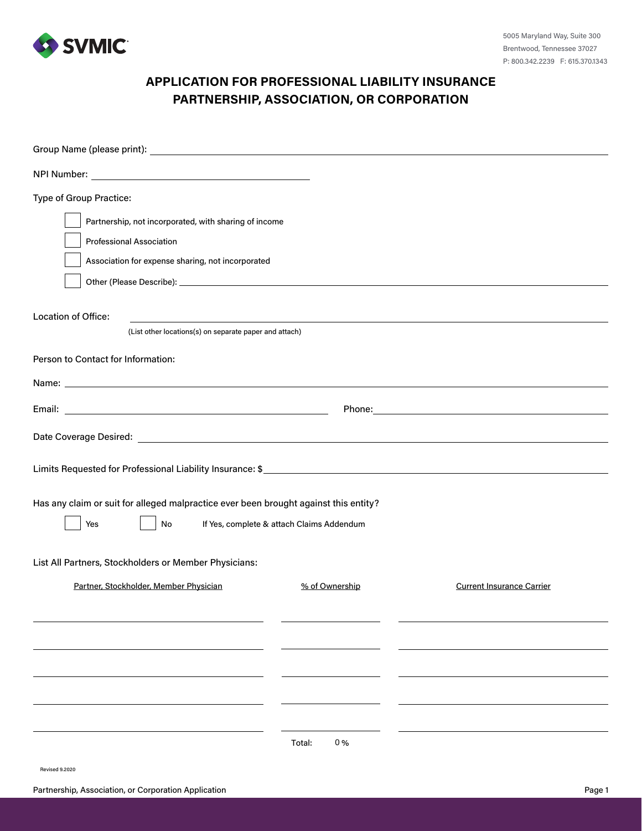

# **APPLICATION FOR PROFESSIONAL LIABILITY INSURANCE PARTNERSHIP, ASSOCIATION, OR CORPORATION**

| Type of Group Practice:                                                                                                                        |                |                                  |  |  |  |
|------------------------------------------------------------------------------------------------------------------------------------------------|----------------|----------------------------------|--|--|--|
| Partnership, not incorporated, with sharing of income                                                                                          |                |                                  |  |  |  |
| <b>Professional Association</b>                                                                                                                |                |                                  |  |  |  |
| Association for expense sharing, not incorporated                                                                                              |                |                                  |  |  |  |
|                                                                                                                                                |                |                                  |  |  |  |
| <b>Location of Office:</b>                                                                                                                     |                |                                  |  |  |  |
| (List other locations(s) on separate paper and attach)                                                                                         |                |                                  |  |  |  |
| Person to Contact for Information:                                                                                                             |                |                                  |  |  |  |
|                                                                                                                                                |                |                                  |  |  |  |
|                                                                                                                                                |                |                                  |  |  |  |
|                                                                                                                                                |                |                                  |  |  |  |
|                                                                                                                                                |                |                                  |  |  |  |
| Has any claim or suit for alleged malpractice ever been brought against this entity?<br>If Yes, complete & attach Claims Addendum<br>No<br>Yes |                |                                  |  |  |  |
| List All Partners, Stockholders or Member Physicians:                                                                                          |                |                                  |  |  |  |
| Partner, Stockholder, Member Physician                                                                                                         | % of Ownership | <b>Current Insurance Carrier</b> |  |  |  |
|                                                                                                                                                |                |                                  |  |  |  |
|                                                                                                                                                |                |                                  |  |  |  |
|                                                                                                                                                |                |                                  |  |  |  |
|                                                                                                                                                |                |                                  |  |  |  |
|                                                                                                                                                |                |                                  |  |  |  |
|                                                                                                                                                | 0%<br>Total:   |                                  |  |  |  |

Revised 9.2020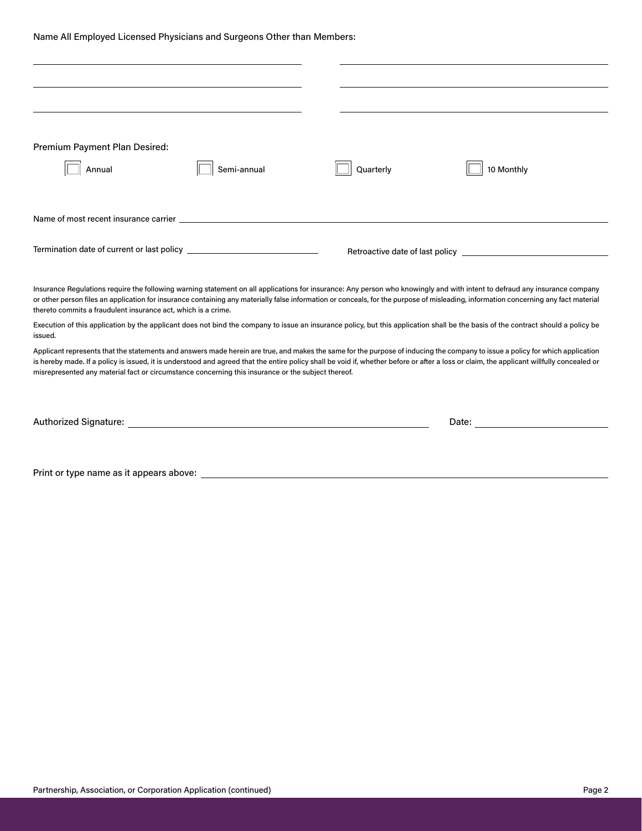Name All Employed Licensed Physicians and Surgeons Other than Members:

| Premium Payment Plan Desired:                                                                                                                                                                                                                                                                                                                                                                                                                                                    |             |           |                                                                                                                                                                                                                                                                                                                                                                   |  |  |  |
|----------------------------------------------------------------------------------------------------------------------------------------------------------------------------------------------------------------------------------------------------------------------------------------------------------------------------------------------------------------------------------------------------------------------------------------------------------------------------------|-------------|-----------|-------------------------------------------------------------------------------------------------------------------------------------------------------------------------------------------------------------------------------------------------------------------------------------------------------------------------------------------------------------------|--|--|--|
| Annual                                                                                                                                                                                                                                                                                                                                                                                                                                                                           | Semi-annual | Quarterly | 10 Monthly                                                                                                                                                                                                                                                                                                                                                        |  |  |  |
|                                                                                                                                                                                                                                                                                                                                                                                                                                                                                  |             |           |                                                                                                                                                                                                                                                                                                                                                                   |  |  |  |
|                                                                                                                                                                                                                                                                                                                                                                                                                                                                                  |             |           |                                                                                                                                                                                                                                                                                                                                                                   |  |  |  |
|                                                                                                                                                                                                                                                                                                                                                                                                                                                                                  |             |           |                                                                                                                                                                                                                                                                                                                                                                   |  |  |  |
|                                                                                                                                                                                                                                                                                                                                                                                                                                                                                  |             |           |                                                                                                                                                                                                                                                                                                                                                                   |  |  |  |
|                                                                                                                                                                                                                                                                                                                                                                                                                                                                                  |             |           |                                                                                                                                                                                                                                                                                                                                                                   |  |  |  |
|                                                                                                                                                                                                                                                                                                                                                                                                                                                                                  |             |           |                                                                                                                                                                                                                                                                                                                                                                   |  |  |  |
| thereto commits a fraudulent insurance act, which is a crime.                                                                                                                                                                                                                                                                                                                                                                                                                    |             |           | Insurance Regulations require the following warning statement on all applications for insurance: Any person who knowingly and with intent to defraud any insurance company<br>or other person files an application for insurance containing any materially false information or conceals, for the purpose of misleading, information concerning any fact material |  |  |  |
| issued.                                                                                                                                                                                                                                                                                                                                                                                                                                                                          |             |           | Execution of this application by the applicant does not bind the company to issue an insurance policy, but this application shall be the basis of the contract should a policy be                                                                                                                                                                                 |  |  |  |
| Applicant represents that the statements and answers made herein are true, and makes the same for the purpose of inducing the company to issue a policy for which application<br>is hereby made. If a policy is issued, it is understood and agreed that the entire policy shall be void if, whether before or after a loss or claim, the applicant willfully concealed or<br>misrepresented any material fact or circumstance concerning this insurance or the subject thereof. |             |           |                                                                                                                                                                                                                                                                                                                                                                   |  |  |  |
|                                                                                                                                                                                                                                                                                                                                                                                                                                                                                  |             |           |                                                                                                                                                                                                                                                                                                                                                                   |  |  |  |
|                                                                                                                                                                                                                                                                                                                                                                                                                                                                                  |             |           |                                                                                                                                                                                                                                                                                                                                                                   |  |  |  |
|                                                                                                                                                                                                                                                                                                                                                                                                                                                                                  |             |           | Date: the contract of the contract of the contract of the contract of the contract of the contract of the contract of the contract of the contract of the contract of the contract of the contract of the contract of the cont                                                                                                                                    |  |  |  |
|                                                                                                                                                                                                                                                                                                                                                                                                                                                                                  |             |           |                                                                                                                                                                                                                                                                                                                                                                   |  |  |  |
|                                                                                                                                                                                                                                                                                                                                                                                                                                                                                  |             |           |                                                                                                                                                                                                                                                                                                                                                                   |  |  |  |
| Print or type name as it appears above:                                                                                                                                                                                                                                                                                                                                                                                                                                          |             |           |                                                                                                                                                                                                                                                                                                                                                                   |  |  |  |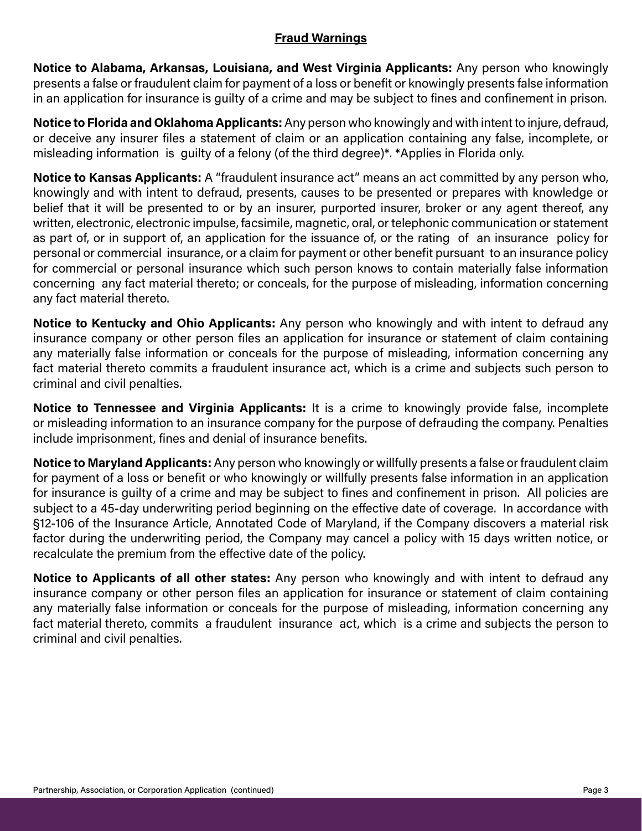## **Fraud Warnings**

**Notice to Alabama, Arkansas, Louisiana, and West Virginia Applicants:** Any person who knowingly presents a false or fraudulent claim for payment of a loss or benefit or knowingly presents false information in an application for insurance is guilty of a crime and may be subject to fines and confinement in prison.

**Notice to Florida and Oklahoma Applicants:** Any person who knowingly and with intent to injure, defraud, or deceive any insurer files a statement of claim or an application containing any false, incomplete, or misleading information is guilty of a felony (of the third degree)\*. \*Applies in Florida only.

**Notice to Kansas Applicants:** A "fraudulent insurance act" means an act committed by any person who, knowingly and with intent to defraud, presents, causes to be presented or prepares with knowledge or belief that it will be presented to or by an insurer, purported insurer, broker or any agent thereof, any written, electronic, electronic impulse, facsimile, magnetic, oral, or telephonic communication or statement as part of, or in support of, an application for the issuance of, or the rating of an insurance policy for personal or commercial insurance, or a claim for payment or other benefit pursuant to an insurance policy for commercial or personal insurance which such person knows to contain materially false information concerning any fact material thereto; or conceals, for the purpose of misleading, information concerning any fact material thereto.

**Notice to Kentucky and Ohio Applicants:** Any person who knowingly and with intent to defraud any insurance company or other person files an application for insurance or statement of claim containing any materially false information or conceals for the purpose of misleading, information concerning any fact material thereto commits a fraudulent insurance act, which is a crime and subjects such person to criminal and civil penalties.

**Notice to Tennessee and Virginia Applicants:** It is a crime to knowingly provide false, incomplete or misleading information to an insurance company for the purpose of defrauding the company. Penalties include imprisonment, fines and denial of insurance benefits.

**Notice to Maryland Applicants:** Any person who knowingly or willfully presents a false or fraudulent claim for payment of a loss or benefit or who knowingly or willfully presents false information in an application for insurance is guilty of a crime and may be subject to fines and confinement in prison. All policies are subject to a 45-day underwriting period beginning on the effective date of coverage. In accordance with §12-106 of the Insurance Article, Annotated Code of Maryland, if the Company discovers a material risk factor during the underwriting period, the Company may cancel a policy with 15 days written notice, or recalculate the premium from the effective date of the policy.

**Notice to Applicants of all other states:** Any person who knowingly and with intent to defraud any insurance company or other person files an application for insurance or statement of claim containing any materially false information or conceals for the purpose of misleading, information concerning any fact material thereto, commits a fraudulent insurance act, which is a crime and subjects the person to criminal and civil penalties.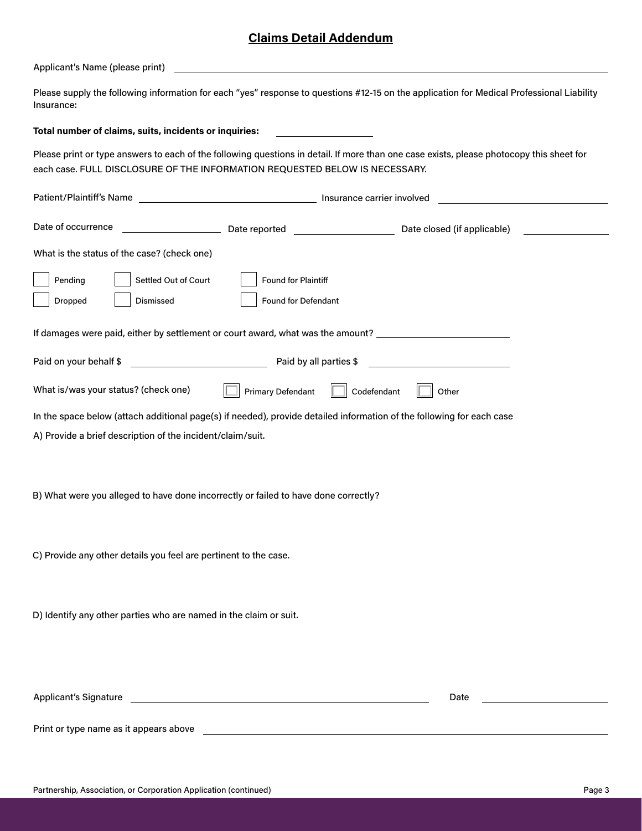### **Claims Detail Addendum**

Applicant's Name (please print)

Please supply the following information for each "yes" response to questions #12-15 on the application for Medical Professional Liability Insurance:

#### **Total number of claims, suits, incidents or inquiries:**

Please print or type answers to each of the following questions in detail. If more than one case exists, please photocopy this sheet for each case. FULL DISCLOSURE OF THE INFORMATION REQUESTED BELOW IS NECESSARY.

| Date of occurrence                                                                                                    | Date reported _____________________                                                                                 | Date closed (if applicable) |  |  |
|-----------------------------------------------------------------------------------------------------------------------|---------------------------------------------------------------------------------------------------------------------|-----------------------------|--|--|
| What is the status of the case? (check one)                                                                           |                                                                                                                     |                             |  |  |
| Pending<br>Settled Out of Court                                                                                       | Found for Plaintiff                                                                                                 |                             |  |  |
| Dismissed<br>Dropped                                                                                                  | Found for Defendant                                                                                                 |                             |  |  |
| If damages were paid, either by settlement or court award, what was the amount? ____________________                  |                                                                                                                     |                             |  |  |
| Paid on your behalf \$<br><u> 1989 - Johann Barn, fransk politik (</u>                                                | Paid by all parties \$                                                                                              |                             |  |  |
| What is/was your status? (check one)                                                                                  | <b>Primary Defendant</b><br>Codefendant                                                                             | Other                       |  |  |
| In the space below (attach additional page(s) if needed), provide detailed information of the following for each case |                                                                                                                     |                             |  |  |
| A) Provide a brief description of the incident/claim/suit.                                                            |                                                                                                                     |                             |  |  |
| B) What were you alleged to have done incorrectly or failed to have done correctly?                                   |                                                                                                                     |                             |  |  |
| C) Provide any other details you feel are pertinent to the case.                                                      |                                                                                                                     |                             |  |  |
|                                                                                                                       |                                                                                                                     |                             |  |  |
| D) Identify any other parties who are named in the claim or suit.                                                     |                                                                                                                     |                             |  |  |
| <b>Applicant's Signature</b>                                                                                          | <u> 1980 - Jan Samuel Barbara, martin a shekara 1980 - An tsara 1980 - An tsara 1980 - An tsara 1980 - An tsara</u> | Date                        |  |  |
|                                                                                                                       |                                                                                                                     |                             |  |  |
| Print or type name as it appears above                                                                                |                                                                                                                     |                             |  |  |